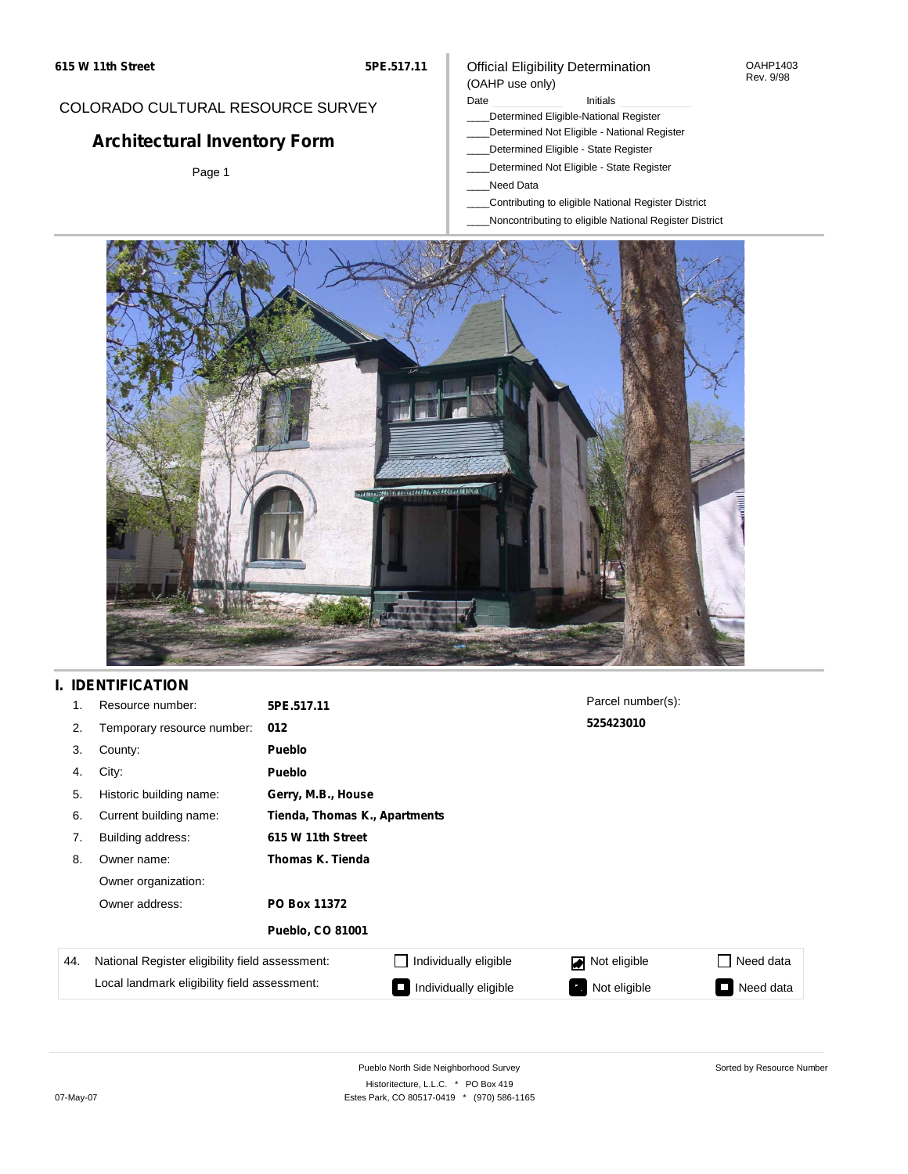#### OAHP1403 Rev. 9/98

### COLORADO CULTURAL RESOURCE SURVEY

# **Architectural Inventory Form**

Page 1

# (OAHP use only)

Official Eligibility Determination

Date **Initials** Initials

- \_\_\_\_Determined Eligible-National Register \_\_\_\_Determined Not Eligible - National Register
- \_\_\_\_Determined Eligible State Register
- \_\_\_\_Determined Not Eligible State Register
- \_\_\_\_Need Data
- \_\_\_\_Contributing to eligible National Register District
- \_\_\_\_Noncontributing to eligible National Register District



## **I. IDENTIFICATION**

| 1.  | Resource number:                                | 5PE.517.11                    |                       | Parcel number(s):  |                 |
|-----|-------------------------------------------------|-------------------------------|-----------------------|--------------------|-----------------|
| 2.  | Temporary resource number:                      | 012                           |                       | 525423010          |                 |
| 3.  | County:                                         | Pueblo                        |                       |                    |                 |
| 4.  | City:                                           | <b>Pueblo</b>                 |                       |                    |                 |
| 5.  | Historic building name:                         | Gerry, M.B., House            |                       |                    |                 |
| 6.  | Current building name:                          | Tienda, Thomas K., Apartments |                       |                    |                 |
| 7.  | Building address:                               | 615 W 11th Street             |                       |                    |                 |
| 8.  | Owner name:                                     | Thomas K. Tienda              |                       |                    |                 |
|     | Owner organization:                             |                               |                       |                    |                 |
|     | Owner address:                                  | PO Box 11372                  |                       |                    |                 |
|     |                                                 | <b>Pueblo, CO 81001</b>       |                       |                    |                 |
| 44. | National Register eligibility field assessment: |                               | Individually eligible | Not eligible       | Need data       |
|     | Local landmark eligibility field assessment:    |                               | Individually eligible | Not eligible<br>ъ. | Need data<br>P. |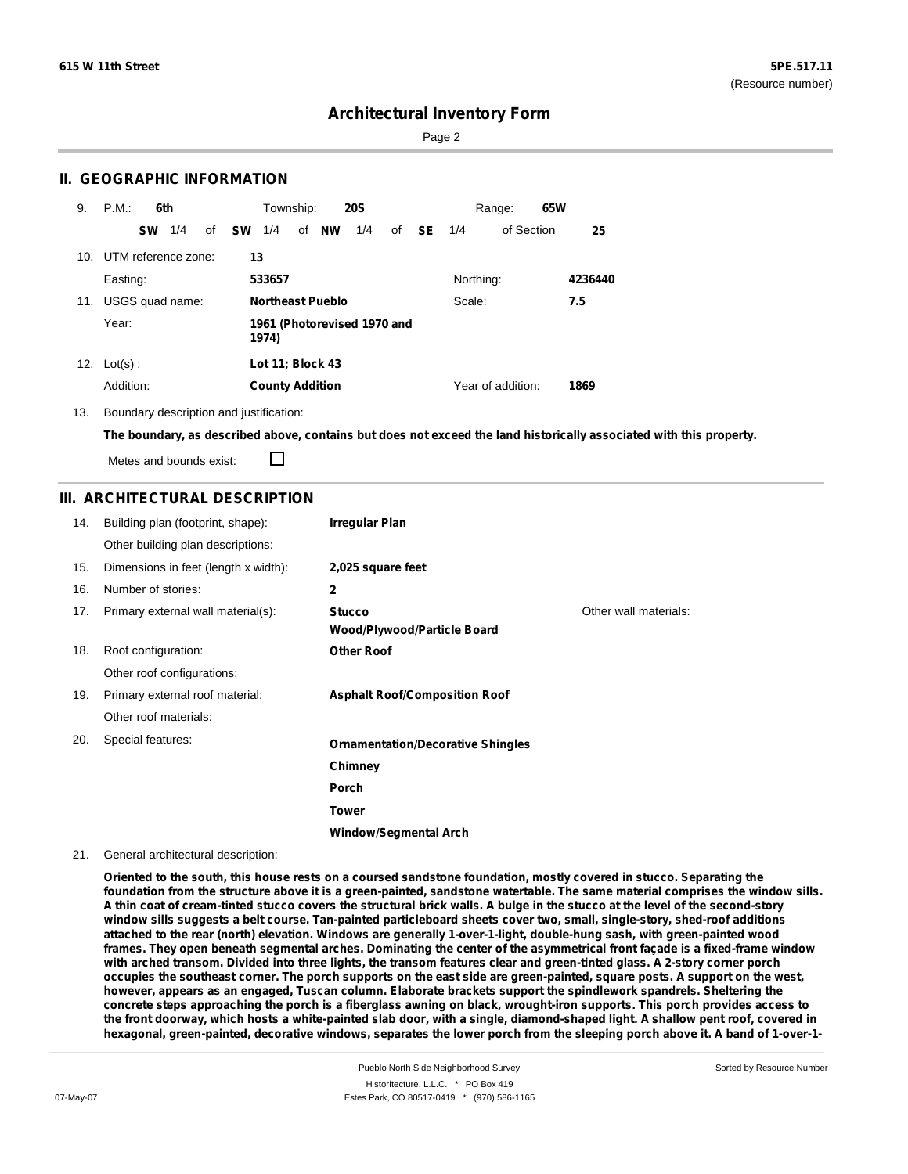Page 2

### **II. GEOGRAPHIC INFORMATION**

| 9.  | P.M.<br>6th            | Township:<br><b>20S</b>                       | 65W<br>Range:                  |         |
|-----|------------------------|-----------------------------------------------|--------------------------------|---------|
|     | 1/4<br><b>SW</b><br>of | 1/4<br>of <b>NW</b><br>1/4<br><b>SW</b><br>of | <b>SE</b><br>of Section<br>1/4 | 25      |
| 10. | UTM reference zone:    | 13                                            |                                |         |
|     | Easting:               | 533657                                        | Northing:                      | 4236440 |
| 11. | USGS quad name:        | <b>Northeast Pueblo</b>                       | Scale:                         | 7.5     |
|     | Year:                  | 1961 (Photorevised 1970 and<br>1974)          |                                |         |
| 12. | $Lot(s)$ :             | Lot 11; Block 43                              |                                |         |
|     | Addition:              | <b>County Addition</b>                        | Year of addition:              | 1869    |

13. Boundary description and justification:

The boundary, as described above, contains but does not exceed the land historically associated with this property.

Metes and bounds exist:

П

### **III. ARCHITECTURAL DESCRIPTION**

| 14. | Building plan (footprint, shape):    | <b>Irregular Plan</b>                               |                       |
|-----|--------------------------------------|-----------------------------------------------------|-----------------------|
|     | Other building plan descriptions:    |                                                     |                       |
| 15. | Dimensions in feet (length x width): | 2,025 square feet                                   |                       |
| 16. | Number of stories:                   | $\mathbf{2}$                                        |                       |
| 17. | Primary external wall material(s):   | <b>Stucco</b><br><b>Wood/Plywood/Particle Board</b> | Other wall materials: |
| 18. | Roof configuration:                  | <b>Other Roof</b>                                   |                       |
|     | Other roof configurations:           |                                                     |                       |
| 19. | Primary external roof material:      | <b>Asphalt Roof/Composition Roof</b>                |                       |
|     | Other roof materials:                |                                                     |                       |
| 20. | Special features:                    | <b>Ornamentation/Decorative Shingles</b>            |                       |
|     |                                      | Chimney                                             |                       |
|     |                                      | Porch                                               |                       |
|     |                                      | <b>Tower</b>                                        |                       |
|     |                                      | <b>Window/Segmental Arch</b>                        |                       |

#### 21. General architectural description:

Oriented to the south, this house rests on a coursed sandstone foundation, mostly covered in stucco. Separating the foundation from the structure above it is a green-painted, sandstone watertable. The same material comprises the window sills. A thin coat of cream-tinted stucco covers the structural brick walls. A bulge in the stucco at the level of the second-story window sills suggests a belt course. Tan-painted particleboard sheets cover two, small, single-story, shed-roof additions **attached to the rear (north) elevation. Windows are generally 1-over-1-light, double-hung sash, with green-painted wood** frames. They open beneath segmental arches. Dominating the center of the asymmetrical front façade is a fixed-frame window with arched transom. Divided into three lights, the transom features clear and green-tinted glass. A 2-story corner porch occupies the southeast corner. The porch supports on the east side are green-painted, square posts. A support on the west, **however, appears as an engaged, Tuscan column. Elaborate brackets support the spindlework spandrels. Sheltering the** concrete steps approaching the porch is a fiberglass awning on black, wrought-iron supports. This porch provides access to the front doorway, which hosts a white-painted slab door, with a single, diamond-shaped light. A shallow pent roof, covered in hexagonal, green-painted, decorative windows, separates the lower porch from the sleeping porch above it. A band of 1-over-1-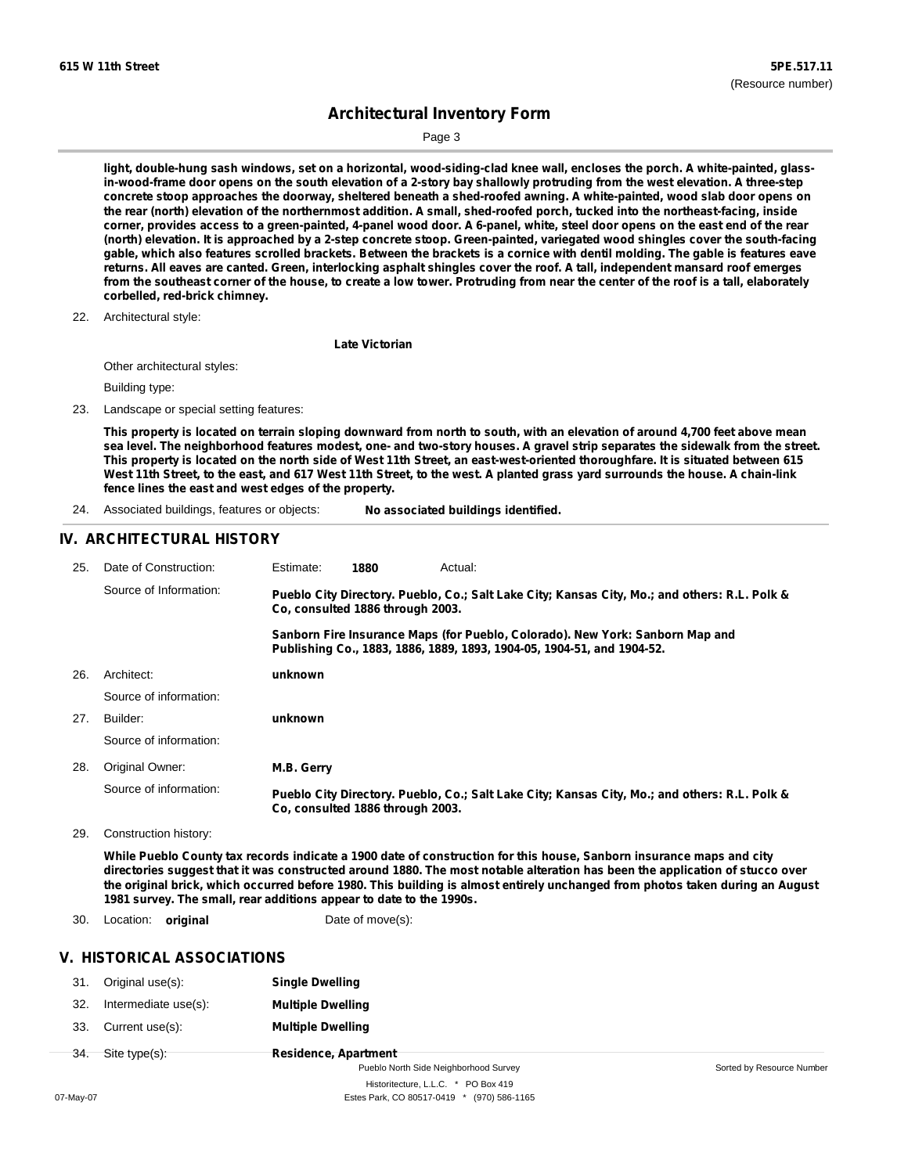Page 3

light, double-hung sash windows, set on a horizontal, wood-siding-clad knee wall, encloses the porch. A white-painted, glassin-wood-frame door opens on the south elevation of a 2-story bay shallowly protruding from the west elevation. A three-step concrete stoop approaches the doorway, sheltered beneath a shed-roofed awning. A white-painted, wood slab door opens on the rear (north) elevation of the northernmost addition. A small, shed-roofed porch, tucked into the northeast-facing, inside corner, provides access to a green-painted, 4-panel wood door. A 6-panel, white, steel door opens on the east end of the rear (north) elevation. It is approached by a 2-step concrete stoop. Green-painted, variegated wood shingles cover the south-facing gable, which also features scrolled brackets. Between the brackets is a cornice with dentil molding. The gable is features eave returns. All eaves are canted. Green, interlocking asphalt shingles cover the roof. A tall, independent mansard roof emerges from the southeast corner of the house, to create a low tower. Protruding from near the center of the roof is a tall, elaborately **corbelled, red-brick chimney.**

22. Architectural style:

**Late Victorian**

Other architectural styles:

Building type:

23. Landscape or special setting features:

This property is located on terrain sloping downward from north to south, with an elevation of around 4,700 feet above mean sea level. The neighborhood features modest, one- and two-story houses. A gravel strip separates the sidewalk from the street. This property is located on the north side of West 11th Street, an east-west-oriented thoroughfare. It is situated between 615 West 11th Street, to the east, and 617 West 11th Street, to the west. A planted grass yard surrounds the house. A chain-link **fence lines the east and west edges of the property.**

24. Associated buildings, features or objects: **No associated buildings identified.**

### **IV. ARCHITECTURAL HISTORY**

| 25. | Date of Construction:  | Estimate:                                                                                                                                                                                                                                                                                    | 1880                             | Actual:                                                                                       |
|-----|------------------------|----------------------------------------------------------------------------------------------------------------------------------------------------------------------------------------------------------------------------------------------------------------------------------------------|----------------------------------|-----------------------------------------------------------------------------------------------|
|     | Source of Information: | Pueblo City Directory. Pueblo, Co.; Salt Lake City; Kansas City, Mo.; and others: R.L. Polk &<br>Co. consulted 1886 through 2003.<br>Sanborn Fire Insurance Maps (for Pueblo, Colorado). New York: Sanborn Map and<br>Publishing Co., 1883, 1886, 1889, 1893, 1904-05, 1904-51, and 1904-52. |                                  |                                                                                               |
|     |                        |                                                                                                                                                                                                                                                                                              |                                  |                                                                                               |
| 26. | Architect:             | unknown                                                                                                                                                                                                                                                                                      |                                  |                                                                                               |
|     | Source of information: |                                                                                                                                                                                                                                                                                              |                                  |                                                                                               |
| 27. | Builder:               | unknown                                                                                                                                                                                                                                                                                      |                                  |                                                                                               |
|     | Source of information: |                                                                                                                                                                                                                                                                                              |                                  |                                                                                               |
| 28. | Original Owner:        | M.B. Gerry                                                                                                                                                                                                                                                                                   |                                  |                                                                                               |
|     | Source of information: |                                                                                                                                                                                                                                                                                              | Co. consulted 1886 through 2003. | Pueblo City Directory. Pueblo, Co.; Salt Lake City; Kansas City, Mo.; and others: R.L. Polk & |

29. Construction history:

While Pueblo County tax records indicate a 1900 date of construction for this house, Sanborn insurance maps and city directories suggest that it was constructed around 1880. The most notable alteration has been the application of stucco over the original brick, which occurred before 1980. This building is almost entirely unchanged from photos taken during an August **1981 survey. The small, rear additions appear to date to the 1990s.**

30. Location: **original** Date of move(s):

### **V. HISTORICAL ASSOCIATIONS**

|     | 31. Original use(s): | <b>Single Dwelling</b>      |
|-----|----------------------|-----------------------------|
| 32. | Intermediate use(s): | <b>Multiple Dwelling</b>    |
| 33. | Current use(s):      | <b>Multiple Dwelling</b>    |
|     | 34. Site type(s):    | <b>Residence, Apartment</b> |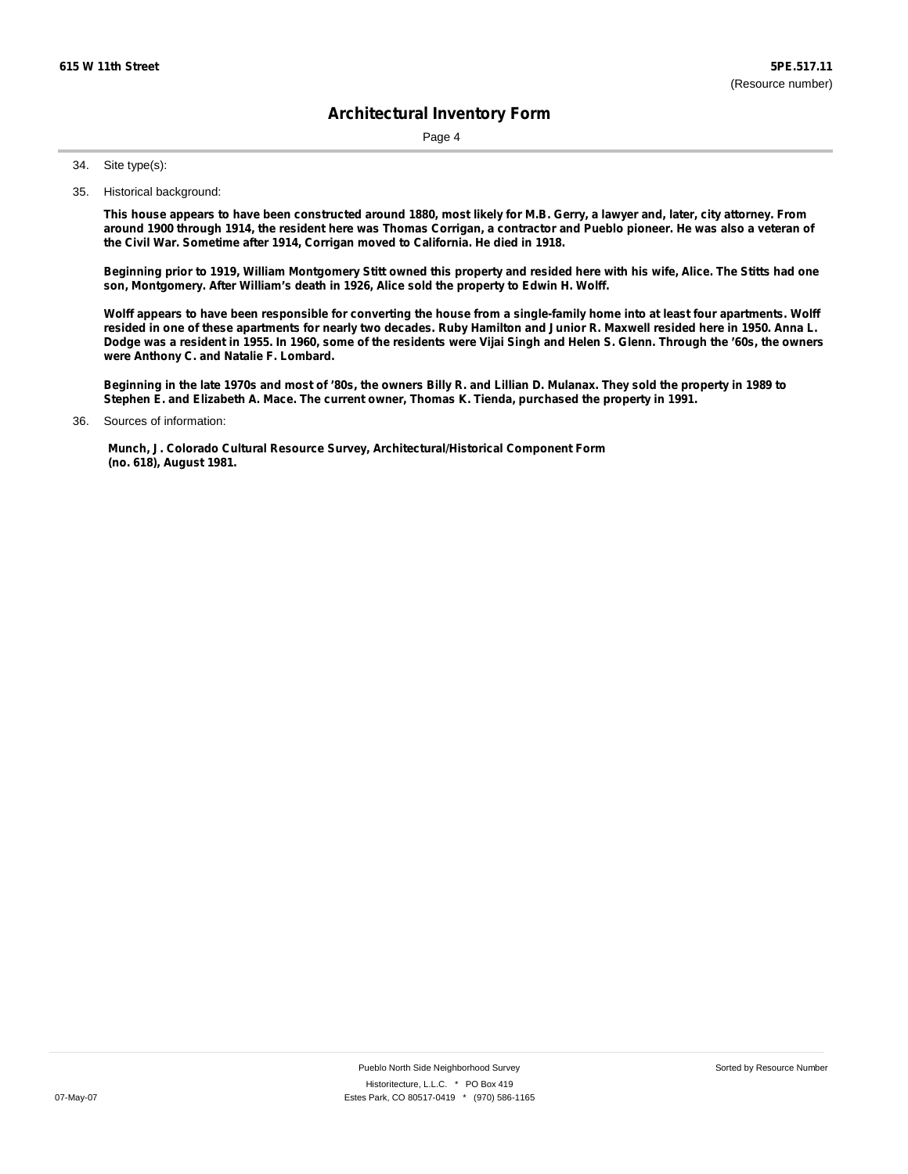Page 4

Site type(s): 34.

35. Historical background:

This house appears to have been constructed around 1880, most likely for M.B. Gerry, a lawyer and, later, city attorney. From around 1900 through 1914, the resident here was Thomas Corrigan, a contractor and Pueblo pioneer. He was also a veteran of **the Civil War. Sometime after 1914, Corrigan moved to California. He died in 1918.**

Beginning prior to 1919, William Montgomery Stitt owned this property and resided here with his wife, Alice. The Stitts had one **son, Montgomery. After William's death in 1926, Alice sold the property to Edwin H. Wolff.**

Wolff appears to have been responsible for converting the house from a single-family home into at least four apartments. Wolff resided in one of these apartments for nearly two decades. Ruby Hamilton and Junior R. Maxwell resided here in 1950. Anna L. Dodge was a resident in 1955. In 1960, some of the residents were Vijai Singh and Helen S. Glenn. Through the '60s, the owners **were Anthony C. and Natalie F. Lombard.**

Beginning in the late 1970s and most of '80s, the owners Billy R. and Lillian D. Mulanax. They sold the property in 1989 to **Stephen E. and Elizabeth A. Mace. The current owner, Thomas K. Tienda, purchased the property in 1991.**

**Munch, J. Colorado Cultural Resource Survey, Architectural/Historical Component Form (no. 618), August 1981.**

Sources of information: 36.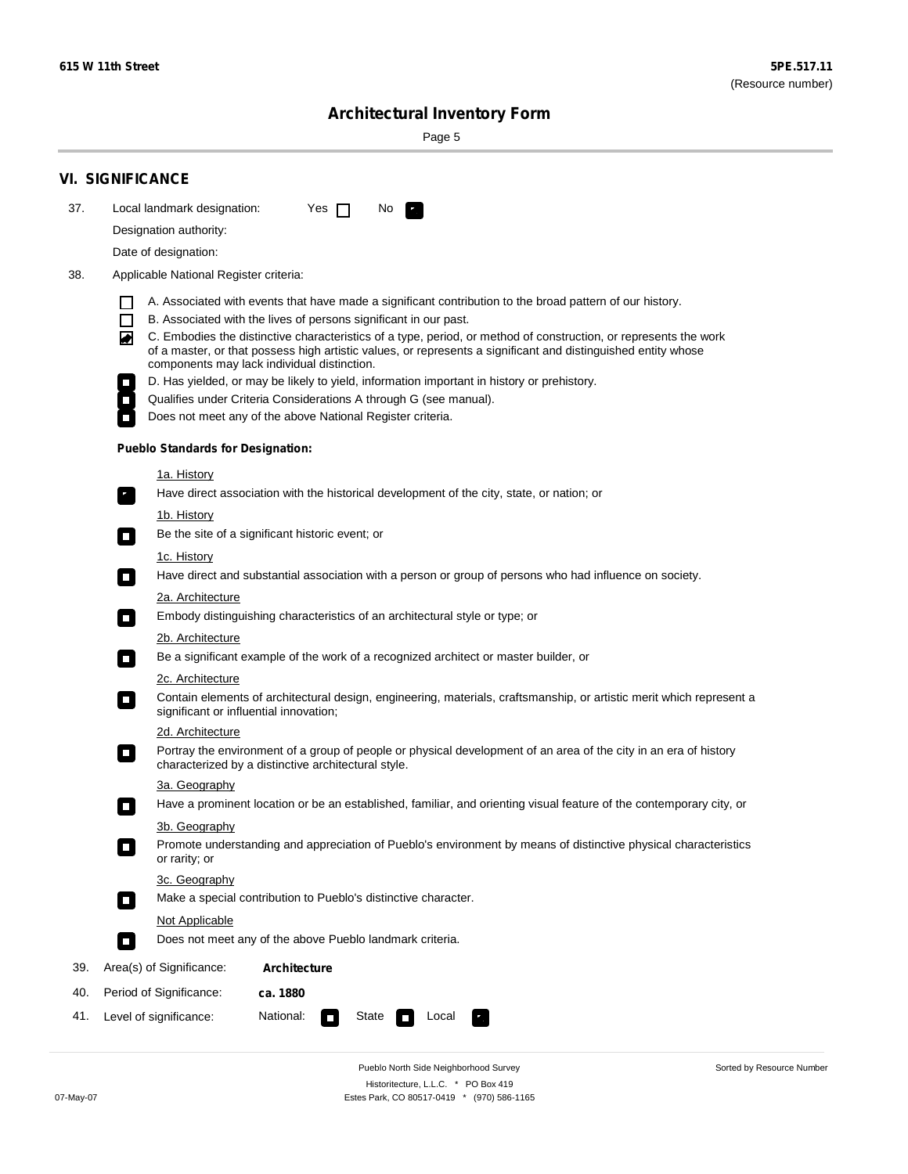Sorted by Resource Number

# **Architectural Inventory Form**

Page 5

|     | <b>VI. SIGNIFICANCE</b>                                                                                                                                                                                                                                                               |
|-----|---------------------------------------------------------------------------------------------------------------------------------------------------------------------------------------------------------------------------------------------------------------------------------------|
| 37. | Local landmark designation:<br>Yes $\Box$<br>No<br><b>PA</b>                                                                                                                                                                                                                          |
|     | Designation authority:                                                                                                                                                                                                                                                                |
|     | Date of designation:                                                                                                                                                                                                                                                                  |
| 38. | Applicable National Register criteria:                                                                                                                                                                                                                                                |
|     | A. Associated with events that have made a significant contribution to the broad pattern of our history.                                                                                                                                                                              |
|     | B. Associated with the lives of persons significant in our past.<br>ΙI                                                                                                                                                                                                                |
|     | C. Embodies the distinctive characteristics of a type, period, or method of construction, or represents the work<br>◙<br>of a master, or that possess high artistic values, or represents a significant and distinguished entity whose<br>components may lack individual distinction. |
|     | D. Has yielded, or may be likely to yield, information important in history or prehistory.                                                                                                                                                                                            |
|     | Qualifies under Criteria Considerations A through G (see manual).                                                                                                                                                                                                                     |
|     | Does not meet any of the above National Register criteria.                                                                                                                                                                                                                            |
|     | <b>Pueblo Standards for Designation:</b>                                                                                                                                                                                                                                              |
|     | <u>1a. History</u>                                                                                                                                                                                                                                                                    |
|     | Have direct association with the historical development of the city, state, or nation; or<br>$\mathbf{r}_\perp$                                                                                                                                                                       |
|     | <u>1b. History</u>                                                                                                                                                                                                                                                                    |
|     | Be the site of a significant historic event; or                                                                                                                                                                                                                                       |
|     | 1c. History<br>Have direct and substantial association with a person or group of persons who had influence on society.<br>$\Box$                                                                                                                                                      |
|     | 2a. Architecture                                                                                                                                                                                                                                                                      |
|     | Embody distinguishing characteristics of an architectural style or type; or<br>$\Box$                                                                                                                                                                                                 |
|     | 2b. Architecture                                                                                                                                                                                                                                                                      |
|     | Be a significant example of the work of a recognized architect or master builder, or<br>$\overline{\phantom{a}}$                                                                                                                                                                      |
|     | 2c. Architecture                                                                                                                                                                                                                                                                      |
|     | Contain elements of architectural design, engineering, materials, craftsmanship, or artistic merit which represent a<br>О<br>significant or influential innovation;                                                                                                                   |
|     | 2d. Architecture                                                                                                                                                                                                                                                                      |
|     | Portray the environment of a group of people or physical development of an area of the city in an era of history<br>$\Box$<br>characterized by a distinctive architectural style.                                                                                                     |
|     | 3a. Geography                                                                                                                                                                                                                                                                         |
|     | Have a prominent location or be an established, familiar, and orienting visual feature of the contemporary city, or                                                                                                                                                                   |
|     | 3b. Geography                                                                                                                                                                                                                                                                         |
|     | Promote understanding and appreciation of Pueblo's environment by means of distinctive physical characteristics<br>$\overline{\phantom{a}}$<br>or rarity; or                                                                                                                          |
|     | 3c. Geography                                                                                                                                                                                                                                                                         |
|     | Make a special contribution to Pueblo's distinctive character.<br>$\mathcal{L}_{\mathcal{A}}$                                                                                                                                                                                         |
|     | Not Applicable                                                                                                                                                                                                                                                                        |
|     | Does not meet any of the above Pueblo landmark criteria.<br>$\overline{\phantom{a}}$                                                                                                                                                                                                  |
| 39. | Area(s) of Significance:<br>Architecture                                                                                                                                                                                                                                              |
| 40. | Period of Significance:<br>ca. 1880                                                                                                                                                                                                                                                   |
| 41. | National:<br>Level of significance:<br>State<br>Local<br>$\overline{\phantom{a}}$                                                                                                                                                                                                     |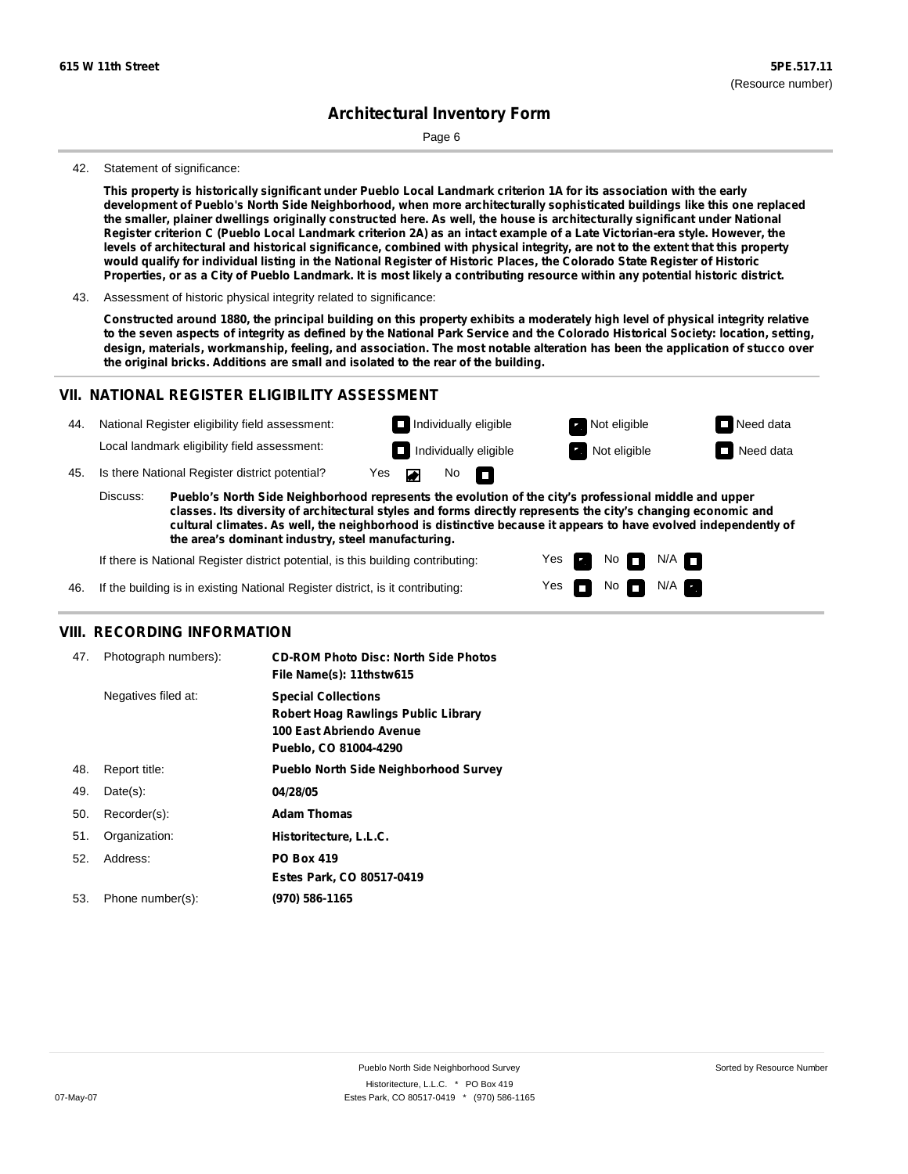Page 6

#### 42. Statement of significance:

This property is historically significant under Pueblo Local Landmark criterion 1A for its association with the early development of Pueblo's North Side Neighborhood, when more architecturally sophisticated buildings like this one replaced the smaller, plainer dwellings originally constructed here. As well, the house is architecturally significant under National Register criterion C (Pueblo Local Landmark criterion 2A) as an intact example of a Late Victorian-era style. However, the levels of architectural and historical significance, combined with physical integrity, are not to the extent that this property would qualify for individual listing in the National Register of Historic Places, the Colorado State Register of Historic Properties, or as a City of Pueblo Landmark. It is most likely a contributing resource within any potential historic district.

43. Assessment of historic physical integrity related to significance:

Constructed around 1880, the principal building on this property exhibits a moderately high level of physical integrity relative to the seven aspects of integrity as defined by the National Park Service and the Colorado Historical Society: location, setting, design, materials, workmanship, feeling, and association. The most notable alteration has been the application of stucco over **the original bricks. Additions are small and isolated to the rear of the building.**

### **VII. NATIONAL REGISTER ELIGIBILITY ASSESSMENT**



**classes. Its diversity of architectural styles and forms directly represents the city's changing economic and cultural climates. As well, the neighborhood is distinctive because it appears to have evolved independently of the area's dominant industry, steel manufacturing.**

> Yes Yes

**The Second Second** 

Non<sub>d</sub> N/A No  $\blacksquare$  N/A  $\blacksquare$ 

If there is National Register district potential, is this building contributing:

If the building is in existing National Register district, is it contributing: 46.

#### **VIII. RECORDING INFORMATION**

| 47. | Photograph numbers): | <b>CD-ROM Photo Disc: North Side Photos</b><br>File Name(s): 11thstw615                                                       |
|-----|----------------------|-------------------------------------------------------------------------------------------------------------------------------|
|     | Negatives filed at:  | <b>Special Collections</b><br><b>Robert Hoag Rawlings Public Library</b><br>100 East Abriendo Avenue<br>Pueblo, CO 81004-4290 |
| 48. | Report title:        | <b>Pueblo North Side Neighborhood Survey</b>                                                                                  |
| 49. | $Date(s)$ :          | 04/28/05                                                                                                                      |
| 50. | Recorder(s):         | <b>Adam Thomas</b>                                                                                                            |
| 51. | Organization:        | Historitecture, L.L.C.                                                                                                        |
| 52. | Address:             | <b>PO Box 419</b>                                                                                                             |
|     |                      | Estes Park, CO 80517-0419                                                                                                     |
| 53. | Phone number(s):     | (970) 586-1165                                                                                                                |
|     |                      |                                                                                                                               |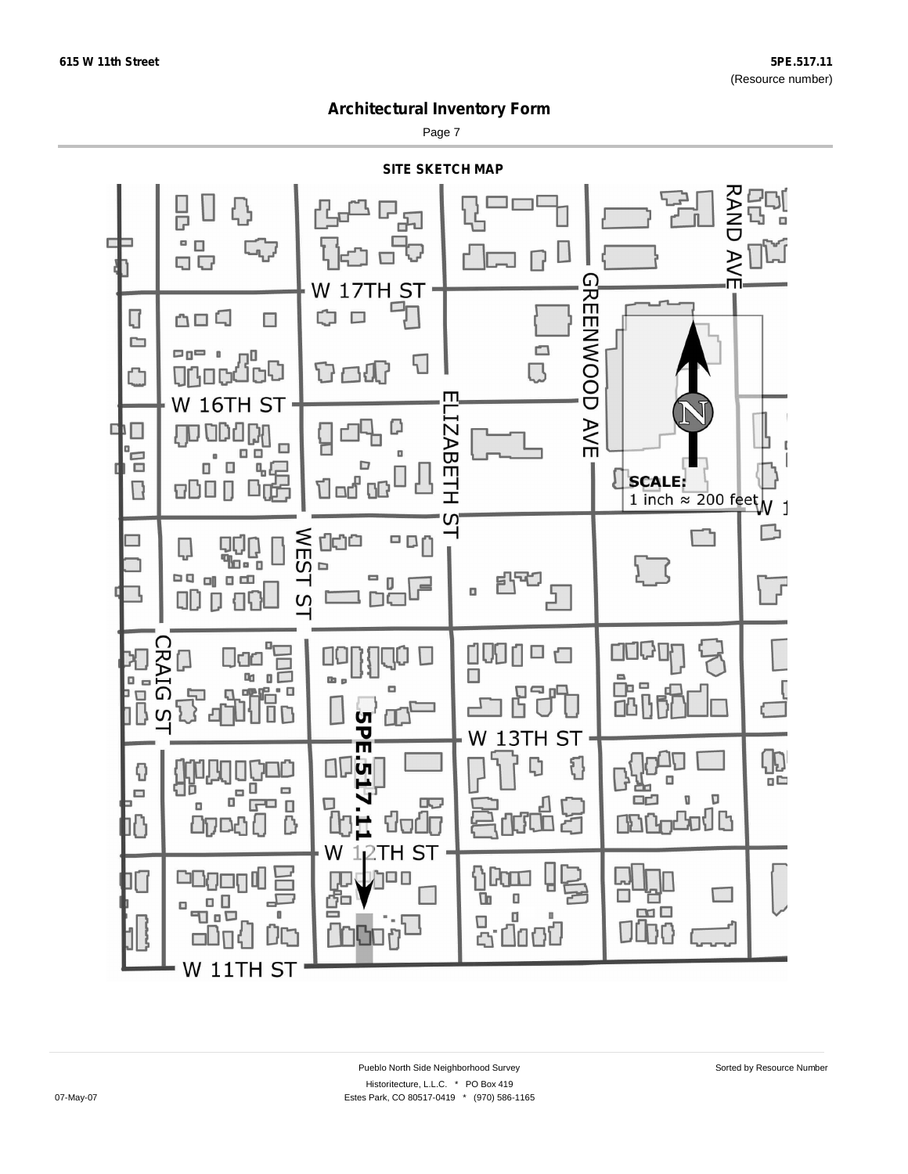Page 7